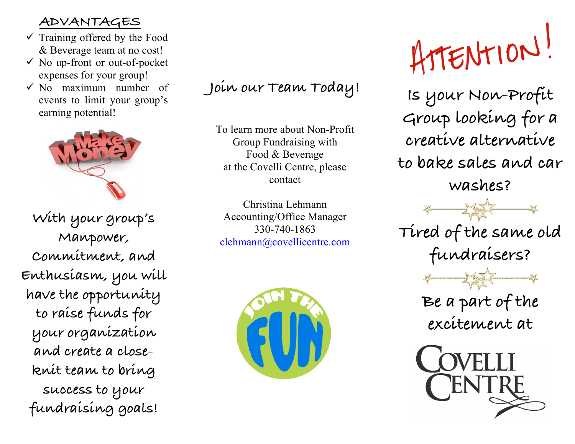## **ADVANTAGES**

- $\checkmark$  Training offered by the Food & Beverage team at no cost!
- $\checkmark$  No up-front or out-of-pocket expenses for your group!
- $\checkmark$  No maximum number of events to limit your group's earning potential!



**With your group's Manpower, Commitment, and Enthusiasm, you will have the opportunity to raise funds for your organization and create a closeknit team to bring success to your fundraising goals!**

## **Join our Team Today!**

To learn more about Non-Profit Group Fundraising with Food & Beverage at the Covelli Centre, please contact

Christina Lehmann Accounting/Office Manager 330-740-1863 clehmann@covellicentre.com



ATTENTION!

**Is your Non-Profit Group looking for a creative alternative to bake sales and car washes?**



**Tired of the same old fundraisers?**



**Be a part of the excitement at**